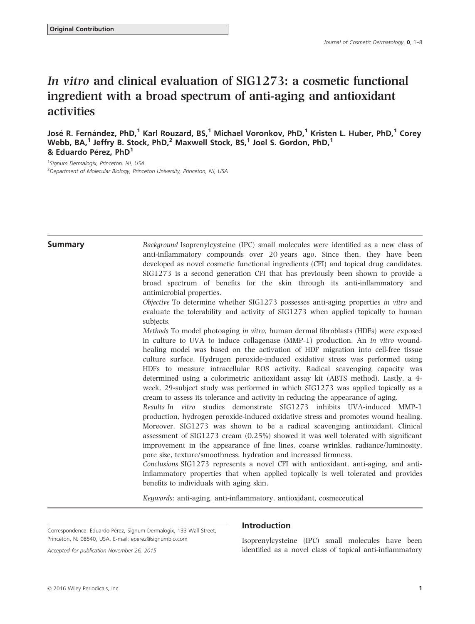# In vitro and clinical evaluation of SIG1273: a cosmetic functional ingredient with a broad spectrum of anti-aging and antioxidant activities

José R. Fernández, PhD,<sup>1</sup> Karl Rouzard, BS,<sup>1</sup> Michael Voronkov, PhD,<sup>1</sup> Kristen L. Huber, PhD,<sup>1</sup> Corey Webb, BA, $^1$  Jeffry B. Stock, PhD, $^2$  Maxwell Stock, BS, $^1$  Joel S. Gordon, PhD, $^1$ & Eduardo Pérez,  $PhD<sup>1</sup>$ 

<sup>1</sup> Signum Dermalogix, Princeton, NJ, USA <sup>2</sup> Department of Molecular Biology, Princeton University, Princeton, NJ, USA

**Summary** Background Isoprenylcysteine (IPC) small molecules were identified as a new class of anti-inflammatory compounds over 20 years ago. Since then, they have been developed as novel cosmetic functional ingredients (CFI) and topical drug candidates. SIG1273 is a second generation CFI that has previously been shown to provide a broad spectrum of benefits for the skin through its anti-inflammatory and antimicrobial properties.

> Objective To determine whether SIG1273 possesses anti-aging properties in vitro and evaluate the tolerability and activity of SIG1273 when applied topically to human subjects.

> Methods To model photoaging in vitro, human dermal fibroblasts (HDFs) were exposed in culture to UVA to induce collagenase (MMP-1) production. An in vitro woundhealing model was based on the activation of HDF migration into cell-free tissue culture surface. Hydrogen peroxide-induced oxidative stress was performed using HDFs to measure intracellular ROS activity. Radical scavenging capacity was determined using a colorimetric antioxidant assay kit (ABTS method). Lastly, a 4 week, 29-subject study was performed in which SIG1273 was applied topically as a cream to assess its tolerance and activity in reducing the appearance of aging.

> Results In vitro studies demonstrate SIG1273 inhibits UVA-induced MMP-1 production, hydrogen peroxide-induced oxidative stress and promotes wound healing. Moreover, SIG1273 was shown to be a radical scavenging antioxidant. Clinical assessment of SIG1273 cream (0.25%) showed it was well tolerated with significant improvement in the appearance of fine lines, coarse wrinkles, radiance/luminosity, pore size, texture/smoothness, hydration and increased firmness.

> Conclusions SIG1273 represents a novel CFI with antioxidant, anti-aging, and antiinflammatory properties that when applied topically is well tolerated and provides benefits to individuals with aging skin.

Keywords: anti-aging, anti-inflammatory, antioxidant, cosmeceutical

Correspondence: Eduardo Pérez, Signum Dermalogix, 133 Wall Street, Princeton, NJ 08540, USA. E-mail: eperez@signumbio.com

## Introduction

Isoprenylcysteine (IPC) small molecules have been identified as a novel class of topical anti-inflammatory

Accepted for publication November 26, 2015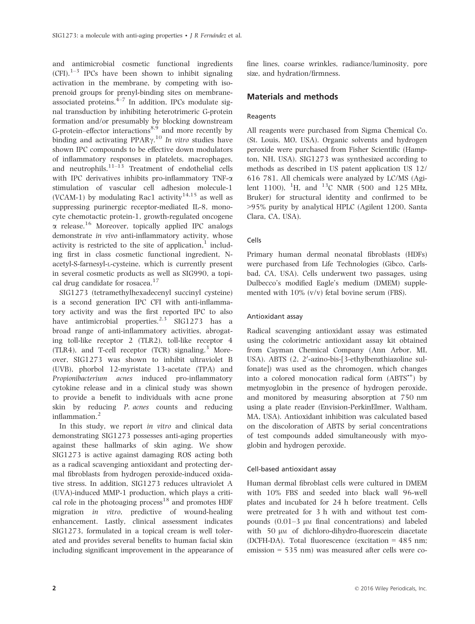and antimicrobial cosmetic functional ingredients  $(CFI).$ <sup>1–3</sup> IPCs have been shown to inhibit signaling activation in the membrane, by competing with isoprenoid groups for prenyl-binding sites on membraneassociated proteins. $4-7$  In addition, IPCs modulate signal transduction by inhibiting heterotrimeric G-protein formation and/or presumably by blocking downstream G-protein–effector interactions $8.9$  and more recently by binding and activating  $PPAR\gamma$ .<sup>10</sup> In vitro studies have shown IPC compounds to be effective down modulators of inflammatory responses in platelets, macrophages, and neutrophils. $11-13$  Treatment of endothelial cells with IPC derivatives inhibits pro-inflammatory TNF- $\alpha$ stimulation of vascular cell adhesion molecule-1 (VCAM-1) by modulating Rac1 activity<sup>14,15</sup> as well as suppressing purinergic receptor-mediated IL-8, monocyte chemotactic protein-1, growth-regulated oncogene  $\alpha$  release.<sup>16</sup> Moreover, topically applied IPC analogs demonstrate in vivo anti-inflammatory activity, whose activity is restricted to the site of application, $<sup>1</sup>$  includ-</sup> ing first in class cosmetic functional ingredient, Nacetyl-S-farnesyl-L-cysteine, which is currently present in several cosmetic products as well as SIG990, a topical drug candidate for rosacea.<sup>17</sup>

SIG1273 (tetramethylhexadecenyl succinyl cysteine) is a second generation IPC CFI with anti-inflammatory activity and was the first reported IPC to also have antimicrobial properties.<sup>2,3</sup> SIG1273 has a broad range of anti-inflammatory activities, abrogating toll-like receptor 2 (TLR2), toll-like receptor 4  $(TLR4)$ , and T-cell receptor  $(TCR)$  signaling.<sup>3</sup> Moreover, SIG1273 was shown to inhibit ultraviolet B (UVB), phorbol 12-myristate 13-acetate (TPA) and Propionibacterium acnes induced pro-inflammatory cytokine release and in a clinical study was shown to provide a benefit to individuals with acne prone skin by reducing P. acnes counts and reducing inflammation.<sup>2</sup>

In this study, we report in vitro and clinical data demonstrating SIG1273 possesses anti-aging properties against these hallmarks of skin aging. We show SIG1273 is active against damaging ROS acting both as a radical scavenging antioxidant and protecting dermal fibroblasts from hydrogen peroxide-induced oxidative stress. In addition, SIG1273 reduces ultraviolet A (UVA)-induced MMP-1 production, which plays a critical role in the photoaging process<sup>18</sup> and promotes HDF migration in vitro, predictive of wound-healing enhancement. Lastly, clinical assessment indicates SIG1273, formulated in a topical cream is well tolerated and provides several benefits to human facial skin including significant improvement in the appearance of fine lines, coarse wrinkles, radiance/luminosity, pore size, and hydration/firmness.

## Materials and methods

## Reagents

All reagents were purchased from Sigma Chemical Co. (St. Louis, MO, USA). Organic solvents and hydrogen peroxide were purchased from Fisher Scientific (Hampton, NH, USA). SIG1273 was synthesized according to methods as described in US patent application US 12/ 616 781. All chemicals were analyzed by LC/MS (Agilent 1100), <sup>1</sup>H, and <sup>13</sup>C NMR (500 and 125 MHz, Bruker) for structural identity and confirmed to be >95% purity by analytical HPLC (Agilent 1200, Santa Clara, CA, USA).

## Cells

Primary human dermal neonatal fibroblasts (HDFs) were purchased from Life Technologies (Gibco, Carlsbad, CA, USA). Cells underwent two passages, using Dulbecco's modified Eagle's medium (DMEM) supplemented with 10% (v/v) fetal bovine serum (FBS).

## Antioxidant assay

Radical scavenging antioxidant assay was estimated using the colorimetric antioxidant assay kit obtained from Cayman Chemical Company (Ann Arbor, MI, USA). ABTS (2, 2'-azino-bis-[3-ethylbenzthiazoline sulfonate]) was used as the chromogen, which changes into a colored monocation radical form (ABTS<sup>\*+</sup>) by metmyoglobin in the presence of hydrogen peroxide, and monitored by measuring absorption at 750 nm using a plate reader (Envision-PerkinElmer, Waltham, MA, USA). Antioxidant inhibition was calculated based on the discoloration of ABTS by serial concentrations of test compounds added simultaneously with myoglobin and hydrogen peroxide.

## Cell-based antioxidant assay

Human dermal fibroblast cells were cultured in DMEM with 10% FBS and seeded into black wall 96-well plates and incubated for 24 h before treatment. Cells were pretreated for 3 h with and without test compounds  $(0.01-3 \mu)$  final concentrations) and labeled with 50 μm of dichloro-dihydro-fluorescein diacetate (DCFH-DA). Total fluorescence (excitation = 485 nm; emission = 535 nm) was measured after cells were co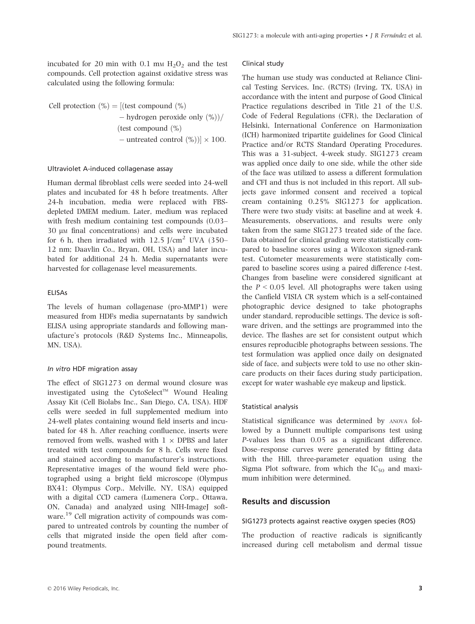incubated for 20 min with 0.1 mm  $H_2O_2$  and the test compounds. Cell protection against oxidative stress was calculated using the following formula:

Cell protection  $\binom{0}{0}$  = [(test compound  $\binom{0}{0}$  $-$  hydrogen peroxide only  $(\%)$ (test compound  $\left(\% \right)$  $-$  untreated control  $(\%)$ )  $\times$  100.

#### Ultraviolet A-induced collagenase assay

Human dermal fibroblast cells were seeded into 24-well plates and incubated for 48 h before treatments. After 24-h incubation, media were replaced with FBSdepleted DMEM medium. Later, medium was replaced with fresh medium containing test compounds (0.03– 30  $\mu$ M final concentrations) and cells were incubated for 6 h, then irradiated with  $12.5$  J/cm<sup>2</sup> UVA (350– 12 nm; Daavlin Co., Bryan, OH, USA) and later incubated for additional 24 h. Media supernatants were harvested for collagenase level measurements.

#### ELISAs

The levels of human collagenase (pro-MMP1) were measured from HDFs media supernatants by sandwich ELISA using appropriate standards and following manufacture's protocols (R&D Systems Inc., Minneapolis, MN, USA).

#### In vitro HDF migration assay

The effect of SIG1273 on dermal wound closure was investigated using the CytoSelect<sup>TM</sup> Wound Healing Assay Kit (Cell Biolabs Inc., San Diego, CA, USA). HDF cells were seeded in full supplemented medium into 24-well plates containing wound field inserts and incubated for 48 h. After reaching confluence, inserts were removed from wells, washed with  $1 \times$  DPBS and later treated with test compounds for 8 h. Cells were fixed and stained according to manufacturer's instructions. Representative images of the wound field were photographed using a bright field microscope (Olympus BX41; Olympus Corp., Melville, NY, USA) equipped with a digital CCD camera (Lumenera Corp., Ottawa, ON, Canada) and analyzed using NIH-ImageJ software.<sup>19</sup> Cell migration activity of compounds was compared to untreated controls by counting the number of cells that migrated inside the open field after compound treatments.

## Clinical study

The human use study was conducted at Reliance Clinical Testing Services, Inc. (RCTS) (Irving, TX, USA) in accordance with the intent and purpose of Good Clinical Practice regulations described in Title 21 of the U.S. Code of Federal Regulations (CFR), the Declaration of Helsinki, International Conference on Harmonization (ICH) harmonized tripartite guidelines for Good Clinical Practice and/or RCTS Standard Operating Procedures. This was a 31-subject, 4-week study. SIG1273 cream was applied once daily to one side, while the other side of the face was utilized to assess a different formulation and CFI and thus is not included in this report. All subjects gave informed consent and received a topical cream containing 0.25% SIG1273 for application. There were two study visits: at baseline and at week 4. Measurements, observations, and results were only taken from the same SIG1273 treated side of the face. Data obtained for clinical grading were statistically compared to baseline scores using a Wilcoxon signed-rank test. Cutometer measurements were statistically compared to baseline scores using a paired difference t-test. Changes from baseline were considered significant at the  $P < 0.05$  level. All photographs were taken using the Canfield VISIA CR system which is a self-contained photographic device designed to take photographs under standard, reproducible settings. The device is software driven, and the settings are programmed into the device. The flashes are set for consistent output which ensures reproducible photographs between sessions. The test formulation was applied once daily on designated side of face, and subjects were told to use no other skincare products on their faces during study participation, except for water washable eye makeup and lipstick.

#### Statistical analysis

Statistical significance was determined by ANOVA followed by a Dunnett multiple comparisons test using P-values less than 0.05 as a significant difference. Dose–response curves were generated by fitting data with the Hill, three-parameter equation using the Sigma Plot software, from which the  $IC_{50}$  and maximum inhibition were determined.

## Results and discussion

#### SIG1273 protects against reactive oxygen species (ROS)

The production of reactive radicals is significantly increased during cell metabolism and dermal tissue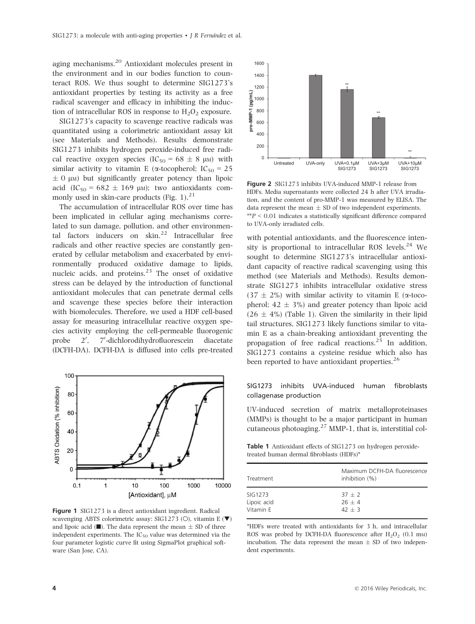aging mechanisms.<sup>20</sup> Antioxidant molecules present in the environment and in our bodies function to counteract ROS. We thus sought to determine SIG1273's antioxidant properties by testing its activity as a free radical scavenger and efficacy in inhibiting the induction of intracellular ROS in response to  $H_2O_2$  exposure.

SIG1273's capacity to scavenge reactive radicals was quantitated using a colorimetric antioxidant assay kit (see Materials and Methods). Results demonstrate SIG1273 inhibits hydrogen peroxide-induced free radical reactive oxygen species  $(IC_{50} = 68 \pm 8 \mu)$  with similar activity to vitamin E ( $\alpha$ -tocopherol; IC<sub>50</sub> = 25  $\pm$  0  $\mu$ M) but significantly greater potency than lipoic acid (IC<sub>50</sub> = 682  $\pm$  169 µm); two antioxidants commonly used in skin-care products (Fig. 1). $^{21}$ 

The accumulation of intracellular ROS over time has been implicated in cellular aging mechanisms correlated to sun damage, pollution, and other environmental factors inducers on  $\sin^{22}$  Intracellular free radicals and other reactive species are constantly generated by cellular metabolism and exacerbated by environmentally produced oxidative damage to lipids, nucleic acids, and proteins.<sup>23</sup> The onset of oxidative stress can be delayed by the introduction of functional antioxidant molecules that can penetrate dermal cells and scavenge these species before their interaction with biomolecules. Therefore, we used a HDF cell-based assay for measuring intracellular reactive oxygen species activity employing the cell-permeable fluorogenic probe , 7'-dichlorodihydrofluorescein diacetate (DCFH-DA). DCFH-DA is diffused into cells pre-treated



Figure 1 SIG1273 is a direct antioxidant ingredient. Radical scavenging ABTS colorimetric assay: SIG1273 (O), vitamin E  $(\blacktriangledown)$ and lipoic acid ( $\blacksquare$ ). The data represent the mean  $\pm$  SD of three independent experiments. The  $IC_{50}$  value was determined via the four parameter logistic curve fit using SigmaPlot graphical software (San Jose, CA).



Figure 2 SIG1273 inhibits UVA-induced MMP-1 release from HDFs. Media supernatants were collected 24 h after UVA irradiation, and the content of pro-MMP-1 was measured by ELISA. The data represent the mean  $\pm$  SD of two independent experiments.  $*P < 0.01$  indicates a statistically significant difference compared to UVA-only irradiated cells.

with potential antioxidants, and the fluorescence intensity is proportional to intracellular ROS levels.<sup>24</sup> We sought to determine SIG1273's intracellular antioxidant capacity of reactive radical scavenging using this method (see Materials and Methods). Results demonstrate SIG1273 inhibits intracellular oxidative stress  $(37 \pm 2\%)$  with similar activity to vitamin E ( $\alpha$ -tocopherol;  $42 \pm 3\%$ ) and greater potency than lipoic acid  $(26 \pm 4\%)$  (Table 1). Given the similarity in their lipid tail structures, SIG1273 likely functions similar to vitamin E as a chain-breaking antioxidant preventing the propagation of free radical reactions.<sup>25</sup> In addition, SIG1273 contains a cysteine residue which also has been reported to have antioxidant properties. $26$ 

### SIG1273 inhibits UVA-induced human fibroblasts collagenase production

UV-induced secretion of matrix metalloproteinases (MMPs) is thought to be a major participant in human cutaneous photoaging. $27$  MMP-1, that is, interstitial col-

Table 1 Antioxidant effects of SIG1273 on hydrogen peroxidetreated human dermal fibroblasts (HDFs)\*

| Treatment   | Maximum DCFH-DA fluorescence<br>inhibition (%) |
|-------------|------------------------------------------------|
| SIG1273     | $37 + 2$                                       |
| Lipoic acid | $26 + 4$                                       |
| Vitamin E   | $42 + 3$                                       |

\*HDFs were treated with antioxidants for 3 h, and intracellular ROS was probed by DCFH-DA fluorescence after  $H_2O_2$  (0.1 mm) incubation. The data represent the mean  $\pm$  SD of two independent experiments.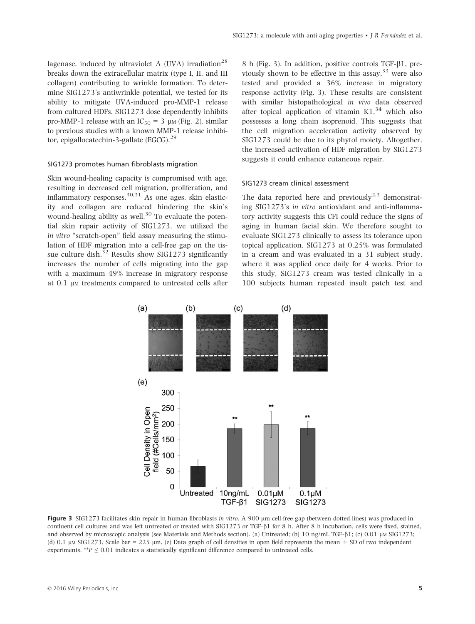lagenase, induced by ultraviolet A (UVA) irradiation<sup>28</sup> breaks down the extracellular matrix (type I, II, and III collagen) contributing to wrinkle formation. To determine SIG1273's antiwrinkle potential, we tested for its ability to mitigate UVA-induced pro-MMP-1 release from cultured HDFs. SIG1273 dose dependently inhibits pro-MMP-1 release with an  $IC_{50} = 3 \mu M$  (Fig. 2), similar to previous studies with a known MMP-1 release inhibitor, epigallocatechin-3-gallate (EGCG).<sup>29</sup>

#### SIG1273 promotes human fibroblasts migration

Skin wound-healing capacity is compromised with age, resulting in decreased cell migration, proliferation, and inflammatory responses.<sup>30,31</sup> As one ages, skin elasticity and collagen are reduced hindering the skin's wound-healing ability as well.<sup>30</sup> To evaluate the potential skin repair activity of SIG1273, we utilized the in vitro "scratch-open" field assay measuring the stimulation of HDF migration into a cell-free gap on the tissue culture dish.<sup>32</sup> Results show SIG1273 significantly increases the number of cells migrating into the gap with a maximum 49% increase in migratory response at 0.1 μM treatments compared to untreated cells after 8 h (Fig. 3). In addition, positive controls TGF- $\beta$ 1, previously shown to be effective in this assay,  $33$  were also tested and provided a 36% increase in migratory response activity (Fig. 3). These results are consistent with similar histopathological in vivo data observed after topical application of vitamin  $K1<sup>34</sup>$  which also possesses a long chain isoprenoid. This suggests that the cell migration acceleration activity observed by SIG1273 could be due to its phytol moiety. Altogether, the increased activation of HDF migration by SIG1273 suggests it could enhance cutaneous repair.

#### SIG1273 cream clinical assessment

The data reported here and previously $2.3$  demonstrating SIG1273's in vitro antioxidant and anti-inflammatory activity suggests this CFI could reduce the signs of aging in human facial skin. We therefore sought to evaluate SIG1273 clinically to assess its tolerance upon topical application. SIG1273 at 0.25% was formulated in a cream and was evaluated in a 31 subject study, where it was applied once daily for 4 weeks. Prior to this study, SIG1273 cream was tested clinically in a 100 subjects human repeated insult patch test and



Figure 3 SIG1273 facilitates skin repair in human fibroblasts in vitro. A 900-um cell-free gap (between dotted lines) was produced in confluent cell cultures and was left untreated or treated with SIG1273 or TGF- $\beta$ 1 for 8 h. After 8 h incubation, cells were fixed, stained, and observed by microscopic analysis (see Materials and Methods section). (a) Untreated; (b) 10 ng/mL TGF- $\beta$ 1; (c) 0.01 µM SIG1273; (d) 0.1 µm SIG1273. Scale bar = 225 µm. (e) Data graph of cell densities in open field represents the mean  $\pm$  SD of two independent experiments. \*\* $P \leq 0.01$  indicates a statistically significant difference compared to untreated cells.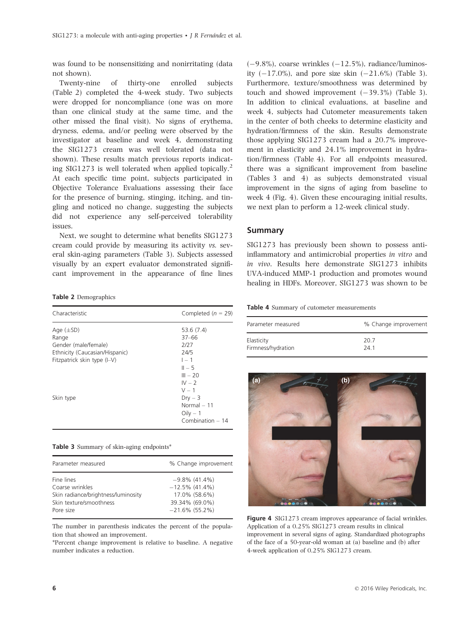was found to be nonsensitizing and nonirritating (data not shown).

Twenty-nine of thirty-one enrolled subjects (Table 2) completed the 4-week study. Two subjects were dropped for noncompliance (one was on more than one clinical study at the same time, and the other missed the final visit). No signs of erythema, dryness, edema, and/or peeling were observed by the investigator at baseline and week 4, demonstrating the SIG1273 cream was well tolerated (data not shown). These results match previous reports indicating SIG1273 is well tolerated when applied topically.<sup>2</sup> At each specific time point, subjects participated in Objective Tolerance Evaluations assessing their face for the presence of burning, stinging, itching, and tingling and noticed no change, suggesting the subjects did not experience any self-perceived tolerability issues.

Next, we sought to determine what benefits SIG1273 cream could provide by measuring its activity vs. several skin-aging parameters (Table 3). Subjects assessed visually by an expert evaluator demonstrated significant improvement in the appearance of fine lines

Table 2 Demographics

| Characteristic                                                                                                                | Completed ( $n = 29$ )                                                                                                                                             |
|-------------------------------------------------------------------------------------------------------------------------------|--------------------------------------------------------------------------------------------------------------------------------------------------------------------|
| Age $(\pm SD)$<br>Range<br>Gender (male/female)<br>Ethnicity (Caucasian/Hispanic)<br>Fitzpatrick skin type (I-V)<br>Skin type | 53.6(7.4)<br>$37 - 66$<br>2/27<br>24/5<br>$1 - 1$<br>$II - 5$<br>$III - 20$<br>$IV - 2$<br>$V - 1$<br>$Drv - 3$<br>Normal $-11$<br>$Oily - 1$<br>Combination $-14$ |

|  |  |  |  |  |  |  | <b>Table 3</b> Summary of skin-aging endpoints <sup>*</sup> |
|--|--|--|--|--|--|--|-------------------------------------------------------------|
|--|--|--|--|--|--|--|-------------------------------------------------------------|

| Parameter measured                  | % Change improvement |
|-------------------------------------|----------------------|
| Fine lines                          | $-9.8\%$ (41.4%)     |
| Coarse wrinkles                     | $-12.5\%$ (41.4%)    |
| Skin radiance/brightness/luminosity | 17.0% (58.6%)        |
| Skin texture/smoothness             | 39.34% (69.0%)       |
| Pore size                           | $-21.6\%$ (55.2%)    |

The number in parenthesis indicates the percent of the population that showed an improvement.

\*Percent change improvement is relative to baseline. A negative number indicates a reduction.

 $(-9.8\%)$ , coarse wrinkles  $(-12.5\%)$ , radiance/luminosity  $(-17.0\%)$ , and pore size skin  $(-21.6\%)$  (Table 3). Furthermore, texture/smoothness was determined by touch and showed improvement  $(-39.3\%)$  (Table 3). In addition to clinical evaluations, at baseline and week 4, subjects had Cutometer measurements taken in the center of both cheeks to determine elasticity and hydration/firmness of the skin. Results demonstrate those applying SIG1273 cream had a 20.7% improvement in elasticity and 24.1% improvement in hydration/firmness (Table 4). For all endpoints measured, there was a significant improvement from baseline (Tables 3 and 4) as subjects demonstrated visual improvement in the signs of aging from baseline to week 4 (Fig. 4). Given these encouraging initial results, we next plan to perform a 12-week clinical study.

#### Summary

SIG1273 has previously been shown to possess antiinflammatory and antimicrobial properties in vitro and in vivo. Results here demonstrate SIG1273 inhibits UVA-induced MMP-1 production and promotes wound healing in HDFs. Moreover, SIG1273 was shown to be

Table 4 Summary of cutometer measurements

| Parameter measured | % Change improvement |  |  |
|--------------------|----------------------|--|--|
| Elasticity         | 20.7                 |  |  |
| Firmness/hydration | 24 1                 |  |  |



Figure 4 SIG1273 cream improves appearance of facial wrinkles. Application of a 0.25% SIG1273 cream results in clinical improvement in several signs of aging. Standardized photographs of the face of a 50-year-old woman at (a) baseline and (b) after 4-week application of 0.25% SIG1273 cream.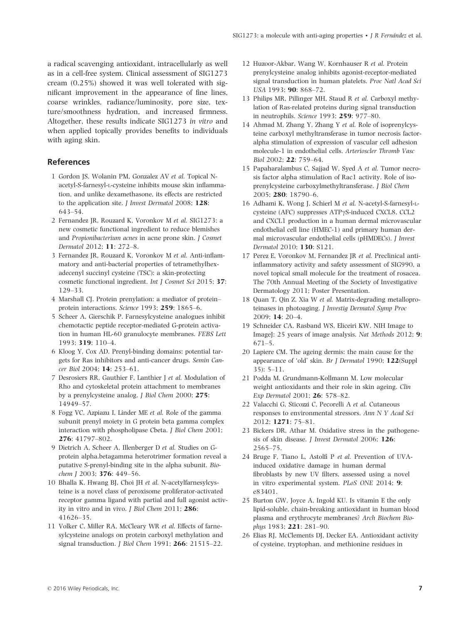a radical scavenging antioxidant, intracellularly as well as in a cell-free system. Clinical assessment of SIG1273 cream (0.25%) showed it was well tolerated with significant improvement in the appearance of fine lines, coarse wrinkles, radiance/luminosity, pore size, texture/smoothness hydration, and increased firmness. Altogether, these results indicate SIG1273 in vitro and when applied topically provides benefits to individuals with aging skin.

## References

- 1 Gordon JS, Wolanin PM, Gonzalez AV et al. Topical Nacetyl-S-farnesyl-L-cysteine inhibits mouse skin inflammation, and unlike dexamethasone, its effects are restricted to the application site. *J Invest Dermatol* 2008; 128: 643–54.
- 2 Fernandez JR, Rouzard K, Voronkov M et al. SIG1273: a new cosmetic functional ingredient to reduce blemishes and Propionibacterium acnes in acne prone skin. J Cosmet Dermatol 2012; 11: 272–8.
- 3 Fernandez JR, Rouzard K, Voronkov M et al. Anti-inflammatory and anti-bacterial properties of tetramethylhexadecenyl succinyl cysteine (TSC): a skin-protecting cosmetic functional ingredient. Int J Cosmet Sci 2015; 37: 129–33.
- 4 Marshall CJ. Protein prenylation: a mediator of protein– protein interactions. Science 1993; 259: 1865–6.
- 5 Scheer A, Gierschik P. Farnesylcysteine analogues inhibit chemotactic peptide receptor-mediated G-protein activation in human HL-60 granulocyte membranes. FEBS Lett 1993; 319: 110–4.
- 6 Kloog Y, Cox AD. Prenyl-binding domains: potential targets for Ras inhibitors and anti-cancer drugs. Semin Cancer Biol 2004; 14: 253–61.
- 7 Desrosiers RR, Gauthier F, Lanthier J et al. Modulation of Rho and cytoskeletal protein attachment to membranes by a prenylcysteine analog. J Biol Chem 2000; 275: 14949–57.
- 8 Fogg VC, Azpiazu I, Linder ME et al. Role of the gamma subunit prenyl moiety in G protein beta gamma complex interaction with phospholipase Cbeta. J Biol Chem 2001; 276: 41797–802.
- 9 Dietrich A, Scheer A, Illenberger D et al. Studies on Gprotein alpha.betagamma heterotrimer formation reveal a putative S-prenyl-binding site in the alpha subunit. Biochem J 2003; 376: 449-56.
- 10 Bhalla K, Hwang BJ, Choi JH et al. N-acetylfarnesylcysteine is a novel class of peroxisome proliferator-activated receptor gamma ligand with partial and full agonist activity in vitro and in vivo. J Biol Chem 2011; 286: 41626–35.
- 11 Volker C, Miller RA, McCleary WR et al. Effects of farnesylcysteine analogs on protein carboxyl methylation and signal transduction. J Biol Chem 1991; 266: 21515–22.
- 12 Huzoor-Akbar, Wang W, Kornhauser R et al. Protein prenylcysteine analog inhibits agonist-receptor-mediated signal transduction in human platelets. Proc Natl Acad Sci USA 1993; 90: 868–72.
- 13 Philips MR, Pillinger MH, Staud R et al. Carboxyl methylation of Ras-related proteins during signal transduction in neutrophils. Science 1993; 259: 977–80.
- 14 Ahmad M, Zhang Y, Zhang Y et al. Role of isoprenylcysteine carboxyl methyltransferase in tumor necrosis factoralpha stimulation of expression of vascular cell adhesion molecule-1 in endothelial cells. Arterioscler Thromb Vasc Biol 2002; 22: 759–64.
- 15 Papaharalambus C, Sajjad W, Syed A et al. Tumor necrosis factor alpha stimulation of Rac1 activity. Role of isoprenylcysteine carboxylmethyltransferase. J Biol Chem 2005; 280: 18790–6.
- 16 Adhami K, Wong J, Schierl M et al. N-acetyl-S-farnesyl-Lcysteine (AFC) suppresses  $ATP\gamma S$ -induced CXCL8, CCL2 and CXCL1 production in a human dermal microvascular endothelial cell line (HMEC-1) and primary human dermal microvascular endothelial cells (pHMDECs). J Invest Dermatol 2010; 130: S121.
- 17 Perez E, Voronkov M, Fernandez JR et al. Preclinical antiinflammatory activity and safety assessment of SIG990, a novel topical small molecule for the treatment of rosacea. The 70th Annual Meeting of the Society of Investigative Dermatology 2011; Poster Presentation.
- 18 Quan T, Qin Z, Xia W et al. Matrix-degrading metalloproteinases in photoaging. J Investig Dermatol Symp Proc 2009; 14: 20–4.
- 19 Schneider CA, Rasband WS, Eliceiri KW. NIH Image to ImageJ: 25 years of image analysis. Nat Methods 2012; 9: 671–5.
- 20 Lapiere CM. The ageing dermis: the main cause for the appearance of 'old' skin. Br J Dermatol 1990; 122(Suppl 35): 5–11.
- 21 Podda M, Grundmann-Kollmann M. Low molecular weight antioxidants and their role in skin ageing. Clin Exp Dermatol 2001; 26: 578–82.
- 22 Valacchi G, Sticozzi C, Pecorelli A et al. Cutaneous responses to environmental stressors. Ann N Y Acad Sci 2012; 1271: 75–81.
- 23 Bickers DR, Athar M. Oxidative stress in the pathogenesis of skin disease. *J Invest Dermatol 2006*; 126: 2565–75.
- 24 Bruge F, Tiano L, Astolfi P et al. Prevention of UVAinduced oxidative damage in human dermal fibroblasts by new UV filters, assessed using a novel in vitro experimental system. PLoS ONE 2014; 9: e83401.
- 25 Burton GW, Joyce A, Ingold KU. Is vitamin E the only lipid-soluble, chain-breaking antioxidant in human blood plasma and erythrocyte membranes? Arch Biochem Biophys 1983; 221: 281–90.
- 26 Elias RJ, McClements DJ, Decker EA. Antioxidant activity of cysteine, tryptophan, and methionine residues in